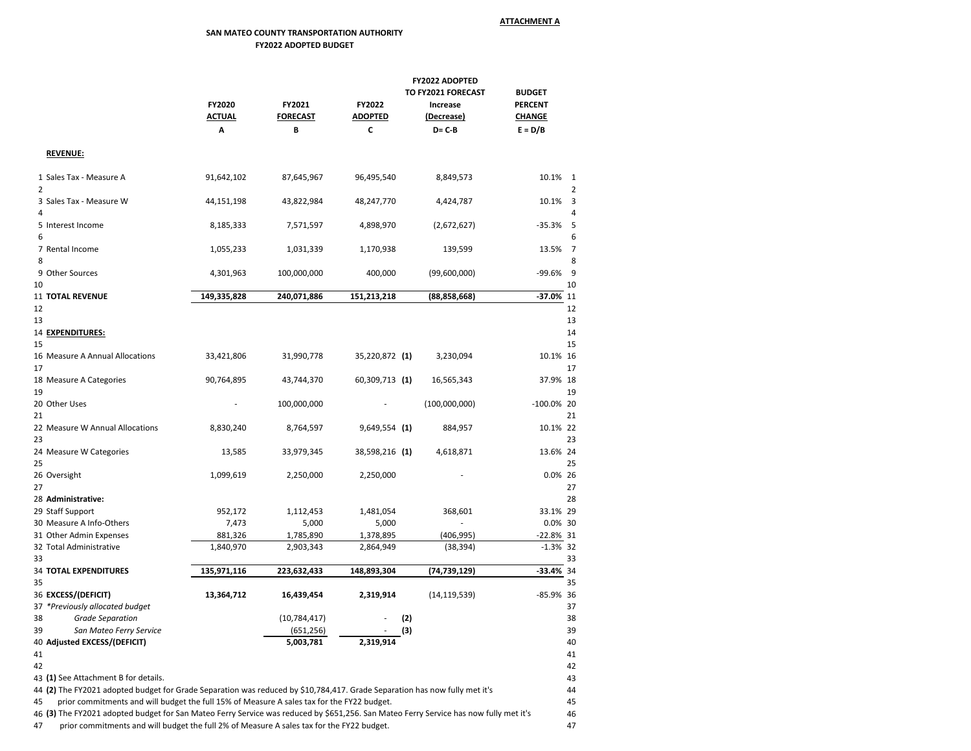## **SAN MATEO COUNTY TRANSPORTATION AUTHORITY FY2022 ADOPTED BUDGET**

|                                                                                                                                                                                                                                           | FY2022 ADOPTED                      |                 |                  |                |                |          |  |  |  |
|-------------------------------------------------------------------------------------------------------------------------------------------------------------------------------------------------------------------------------------------|-------------------------------------|-----------------|------------------|----------------|----------------|----------|--|--|--|
|                                                                                                                                                                                                                                           | TO FY2021 FORECAST<br><b>BUDGET</b> |                 |                  |                |                |          |  |  |  |
|                                                                                                                                                                                                                                           | <b>FY2020</b>                       | <b>FY2021</b>   | <b>FY2022</b>    | Increase       | <b>PERCENT</b> |          |  |  |  |
|                                                                                                                                                                                                                                           | <b>ACTUAL</b>                       | <b>FORECAST</b> | <b>ADOPTED</b>   | (Decrease)     | <b>CHANGE</b>  |          |  |  |  |
|                                                                                                                                                                                                                                           | A                                   | B               | C                | $D = C - B$    | $E = D/B$      |          |  |  |  |
|                                                                                                                                                                                                                                           |                                     |                 |                  |                |                |          |  |  |  |
| <b>REVENUE:</b>                                                                                                                                                                                                                           |                                     |                 |                  |                |                |          |  |  |  |
| 1 Sales Tax - Measure A<br>2                                                                                                                                                                                                              | 91,642,102                          | 87,645,967      | 96,495,540       | 8,849,573      | 10.1% 1        |          |  |  |  |
| 3 Sales Tax - Measure W<br>4                                                                                                                                                                                                              | 44,151,198                          | 43,822,984      | 48,247,770       | 4,424,787      | 10.1%          | 3<br>4   |  |  |  |
| 5 Interest Income<br>6                                                                                                                                                                                                                    | 8,185,333                           | 7,571,597       | 4,898,970        | (2,672,627)    | $-35.3%$       | 5<br>6   |  |  |  |
| 7 Rental Income<br>8                                                                                                                                                                                                                      | 1,055,233                           | 1,031,339       | 1,170,938        | 139,599        | 13.5%          | 7<br>8   |  |  |  |
| 9 Other Sources<br>10                                                                                                                                                                                                                     | 4,301,963                           | 100,000,000     | 400,000          | (99,600,000)   | -99.6%         | 9<br>10  |  |  |  |
| <b>11 TOTAL REVENUE</b>                                                                                                                                                                                                                   | 149,335,828                         | 240,071,886     | 151,213,218      | (88, 858, 668) | $-37.0\%$ 11   |          |  |  |  |
| 12                                                                                                                                                                                                                                        |                                     |                 |                  |                |                | 12       |  |  |  |
| 13                                                                                                                                                                                                                                        |                                     |                 |                  |                |                | 13       |  |  |  |
| 14 EXPENDITURES:                                                                                                                                                                                                                          |                                     |                 |                  |                |                | 14       |  |  |  |
| 15                                                                                                                                                                                                                                        |                                     |                 |                  |                |                | 15       |  |  |  |
| 16 Measure A Annual Allocations<br>17                                                                                                                                                                                                     | 33,421,806                          | 31,990,778      | 35,220,872 (1)   | 3,230,094      | 10.1% 16       | 17       |  |  |  |
| 18 Measure A Categories<br>19                                                                                                                                                                                                             | 90,764,895                          | 43,744,370      | $60,309,713$ (1) | 16,565,343     | 37.9% 18       | 19       |  |  |  |
| 20 Other Uses<br>21                                                                                                                                                                                                                       |                                     | 100,000,000     |                  | (100,000,000)  | $-100.0\%$ 20  | 21       |  |  |  |
| 22 Measure W Annual Allocations<br>23                                                                                                                                                                                                     | 8,830,240                           | 8,764,597       | $9,649,554$ (1)  | 884,957        | 10.1% 22       | 23       |  |  |  |
| 24 Measure W Categories<br>25                                                                                                                                                                                                             | 13,585                              | 33,979,345      | 38,598,216 (1)   | 4,618,871      | 13.6% 24       | 25       |  |  |  |
| 26 Oversight<br>27                                                                                                                                                                                                                        | 1,099,619                           | 2,250,000       | 2,250,000        |                | 0.0% 26        | 27       |  |  |  |
| 28 Administrative:                                                                                                                                                                                                                        |                                     |                 |                  |                |                | 28       |  |  |  |
| 29 Staff Support                                                                                                                                                                                                                          | 952,172                             | 1,112,453       | 1,481,054        | 368,601        | 33.1% 29       |          |  |  |  |
| 30 Measure A Info-Others                                                                                                                                                                                                                  | 7,473                               | 5,000           | 5,000            |                | 0.0% 30        |          |  |  |  |
| 31 Other Admin Expenses                                                                                                                                                                                                                   | 881,326                             | 1,785,890       | 1,378,895        | (406, 995)     | $-22.8%$ 31    |          |  |  |  |
| 32 Total Administrative<br>33                                                                                                                                                                                                             | 1,840,970                           | 2,903,343       | 2,864,949        | (38, 394)      | $-1.3%$ 32     | 33       |  |  |  |
| 34 TOTAL EXPENDITURES                                                                                                                                                                                                                     | 135,971,116                         | 223,632,433     | 148,893,304      | (74,739,129)   | $-33.4%$ 34    |          |  |  |  |
| 35                                                                                                                                                                                                                                        |                                     |                 |                  |                |                | 35       |  |  |  |
| 36 EXCESS/(DEFICIT)                                                                                                                                                                                                                       | 13,364,712                          | 16,439,454      | 2,319,914        | (14, 119, 539) | -85.9% 36      |          |  |  |  |
| 37 *Previously allocated budget                                                                                                                                                                                                           |                                     |                 |                  |                |                | 37       |  |  |  |
| 38<br><b>Grade Separation</b>                                                                                                                                                                                                             |                                     | (10, 784, 417)  |                  | (2)            |                | 38       |  |  |  |
| San Mateo Ferry Service<br>39                                                                                                                                                                                                             |                                     | (651, 256)      |                  | (3)            |                | 39       |  |  |  |
| 40 Adjusted EXCESS/(DEFICIT)                                                                                                                                                                                                              |                                     | 5,003,781       | 2,319,914        |                |                | 40       |  |  |  |
| 41                                                                                                                                                                                                                                        |                                     |                 |                  |                |                | 41       |  |  |  |
| 42                                                                                                                                                                                                                                        |                                     |                 |                  |                |                | 42       |  |  |  |
| 43 (1) See Attachment B for details.                                                                                                                                                                                                      |                                     |                 |                  |                |                | 43       |  |  |  |
| 44 (2) The FY2021 adopted budget for Grade Separation was reduced by \$10,784,417. Grade Separation has now fully met it's                                                                                                                |                                     |                 |                  |                |                | 44       |  |  |  |
| prior commitments and will budget the full 15% of Measure A sales tax for the FY22 budget.<br>45<br>46 (3) The FY2021 adopted budget for San Mateo Ferry Service was reduced by \$651,256. San Mateo Ferry Service has now fully met it's |                                     |                 |                  |                |                | 45<br>46 |  |  |  |
| prior commitments and will budget the full 2% of Measure A sales tax for the FY22 budget.<br>47                                                                                                                                           |                                     |                 |                  |                |                | 47       |  |  |  |
|                                                                                                                                                                                                                                           |                                     |                 |                  |                |                |          |  |  |  |